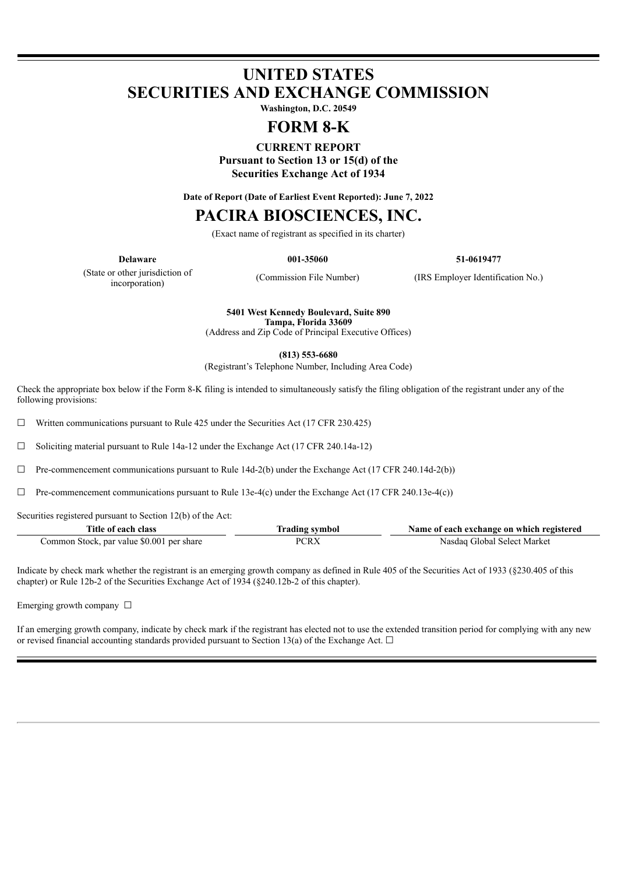# **UNITED STATES SECURITIES AND EXCHANGE COMMISSION**

**Washington, D.C. 20549**

# **FORM 8-K**

# **CURRENT REPORT**

**Pursuant to Section 13 or 15(d) of the Securities Exchange Act of 1934**

**Date of Report (Date of Earliest Event Reported): June 7, 2022**

# **PACIRA BIOSCIENCES, INC.**

(Exact name of registrant as specified in its charter)

**Delaware 001-35060 51-0619477**

(State or other jurisdiction of incorporation)

(Commission File Number) (IRS Employer Identification No.)

**5401 West Kennedy Boulevard, Suite 890 Tampa, Florida 33609**

(Address and Zip Code of Principal Executive Offices)

**(813) 553-6680**

(Registrant's Telephone Number, Including Area Code)

Check the appropriate box below if the Form 8-K filing is intended to simultaneously satisfy the filing obligation of the registrant under any of the following provisions:

 $\Box$  Written communications pursuant to Rule 425 under the Securities Act (17 CFR 230.425)

 $\Box$  Soliciting material pursuant to Rule 14a-12 under the Exchange Act (17 CFR 240.14a-12)

 $\Box$  Pre-commencement communications pursuant to Rule 14d-2(b) under the Exchange Act (17 CFR 240.14d-2(b))

 $\Box$  Pre-commencement communications pursuant to Rule 13e-4(c) under the Exchange Act (17 CFR 240.13e-4(c))

Securities registered pursuant to Section 12(b) of the Act:

| Title of each class                       | <b>Trading symbol</b> | Name of each exchange on which registered |
|-------------------------------------------|-----------------------|-------------------------------------------|
| Common Stock, par value \$0.001 per share | PCRX                  | Nasdag Global Select Market               |

Indicate by check mark whether the registrant is an emerging growth company as defined in Rule 405 of the Securities Act of 1933 (§230.405 of this chapter) or Rule 12b-2 of the Securities Exchange Act of 1934 (§240.12b-2 of this chapter).

Emerging growth company □

If an emerging growth company, indicate by check mark if the registrant has elected not to use the extended transition period for complying with any new or revised financial accounting standards provided pursuant to Section 13(a) of the Exchange Act.  $\Box$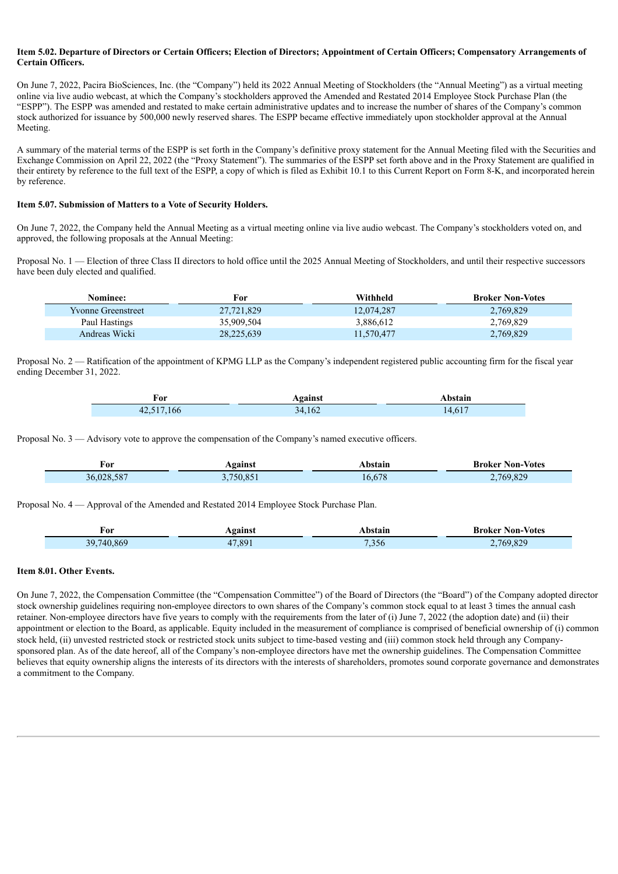#### Item 5.02. Departure of Directors or Certain Officers; Election of Directors; Appointment of Certain Officers; Compensatory Arrangements of **Certain Officers.**

On June 7, 2022, Pacira BioSciences, Inc. (the "Company") held its 2022 Annual Meeting of Stockholders (the "Annual Meeting") as a virtual meeting online via live audio webcast, at which the Company's stockholders approved the Amended and Restated 2014 Employee Stock Purchase Plan (the "ESPP"). The ESPP was amended and restated to make certain administrative updates and to increase the number of shares of the Company's common stock authorized for issuance by 500,000 newly reserved shares. The ESPP became effective immediately upon stockholder approval at the Annual Meeting.

A summary of the material terms of the ESPP is set forth in the Company's definitive proxy statement for the Annual Meeting filed with the Securities and Exchange Commission on April 22, 2022 (the "Proxy Statement"). The summaries of the ESPP set forth above and in the Proxy Statement are qualified in their entirety by reference to the full text of the ESPP, a copy of which is filed as Exhibit 10.1 to this Current Report on Form 8-K, and incorporated herein by reference.

#### **Item 5.07. Submission of Matters to a Vote of Security Holders.**

On June 7, 2022, the Company held the Annual Meeting as a virtual meeting online via live audio webcast. The Company's stockholders voted on, and approved, the following proposals at the Annual Meeting:

Proposal No. 1 — Election of three Class II directors to hold office until the 2025 Annual Meeting of Stockholders, and until their respective successors have been duly elected and qualified.

| Nominee:                  | For        | Withheld   | <b>Broker Non-Votes</b> |
|---------------------------|------------|------------|-------------------------|
| <b>Yvonne Greenstreet</b> | 27,721,829 | 12,074,287 | 2,769,829               |
| Paul Hastings             | 35,909,504 | 3,886,612  | 2,769,829               |
| Andreas Wicki             | 28,225,639 | 11.570.477 | 2,769,829               |

Proposal No. 2 — Ratification of the appointment of KPMG LLP as the Company's independent registered public accounting firm for the fiscal year ending December 31, 2022.

| For        | Against | Abstain |
|------------|---------|---------|
| 42,517,166 | 34,162  | 14,617  |

Proposal No. 3 — Advisory vote to approve the compensation of the Company's named executive officers.

| ≠or        | Against | <b>\bstain</b> | <b>Broker Non-Votes</b> |
|------------|---------|----------------|-------------------------|
| 36,028,587 | 750.851 | 16.678         | 769.829                 |

Proposal No. 4 — Approval of the Amended and Restated 2014 Employee Stock Purchase Plan.

| For                                           | .gainst | <b>\bstain</b> | <b>Broker Non-Votes</b> |
|-----------------------------------------------|---------|----------------|-------------------------|
| ____                                          |         | .              | $\sim$ $\sim$ $\sim$    |
| 740<br>869<br>39.<br>$\overline{\phantom{a}}$ | 7891    | .356           | 829<br>769<br>__        |

#### **Item 8.01. Other Events.**

Ī

On June 7, 2022, the Compensation Committee (the "Compensation Committee") of the Board of Directors (the "Board") of the Company adopted director stock ownership guidelines requiring non-employee directors to own shares of the Company's common stock equal to at least 3 times the annual cash retainer. Non-employee directors have five years to comply with the requirements from the later of (i) June 7, 2022 (the adoption date) and (ii) their appointment or election to the Board, as applicable. Equity included in the measurement of compliance is comprised of beneficial ownership of (i) common stock held, (ii) unvested restricted stock or restricted stock units subject to time-based vesting and (iii) common stock held through any Companysponsored plan. As of the date hereof, all of the Company's non-employee directors have met the ownership guidelines. The Compensation Committee believes that equity ownership aligns the interests of its directors with the interests of shareholders, promotes sound corporate governance and demonstrates a commitment to the Company.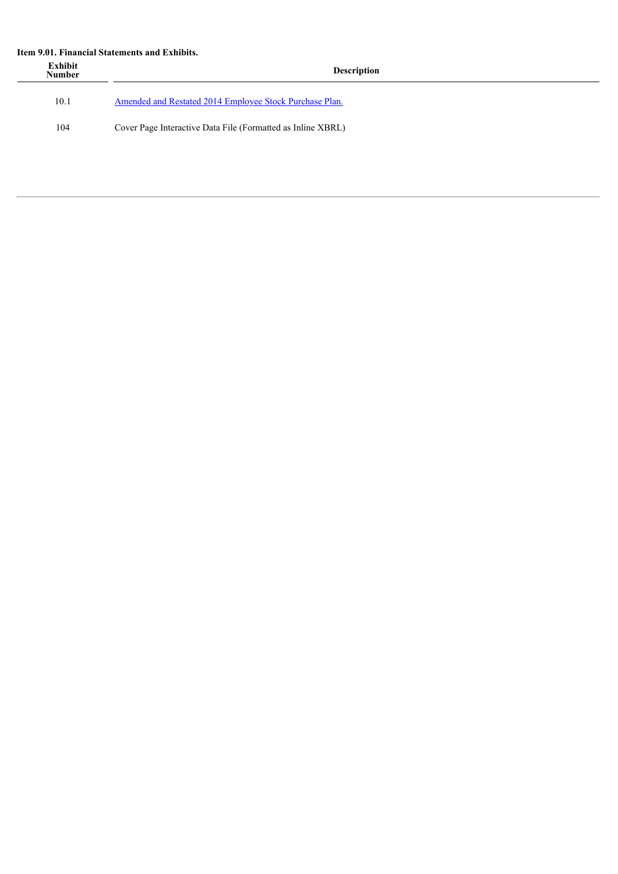#### **Item 9.01. Financial Statements and Exhibits.**

| Exhibit<br><b>Number</b> | <b>Description</b>                                          |
|--------------------------|-------------------------------------------------------------|
| 10.1                     | Amended and Restated 2014 Employee Stock Purchase Plan.     |
| 104                      | Cover Page Interactive Data File (Formatted as Inline XBRL) |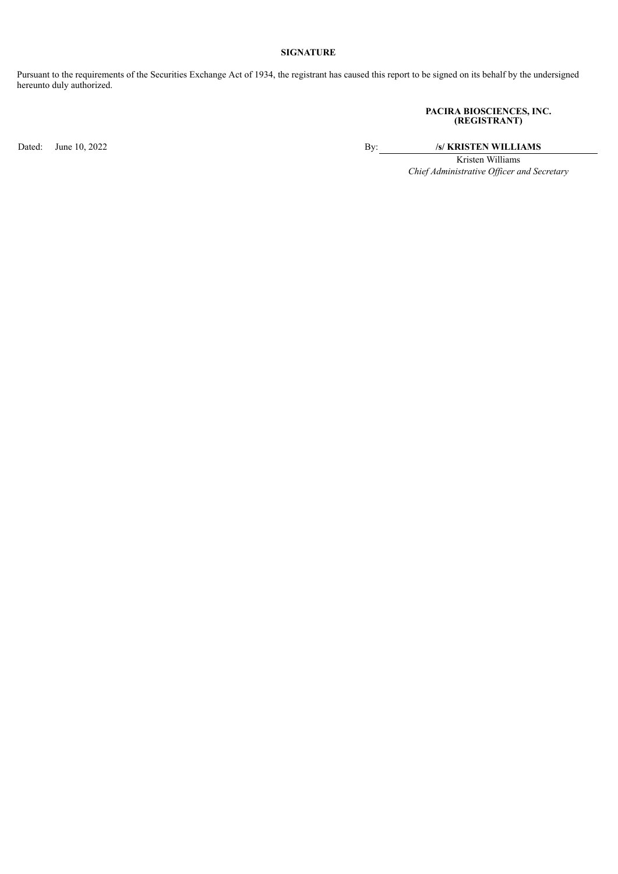## **SIGNATURE**

Pursuant to the requirements of the Securities Exchange Act of 1934, the registrant has caused this report to be signed on its behalf by the undersigned hereunto duly authorized.

#### **PACIRA BIOSCIENCES, INC. (REGISTRANT)**

Dated: June 10, 2022 <br>By: /s/ **KRISTEN WILLIAMS** 

Kristen Williams *Chief Administrative Of icer and Secretary*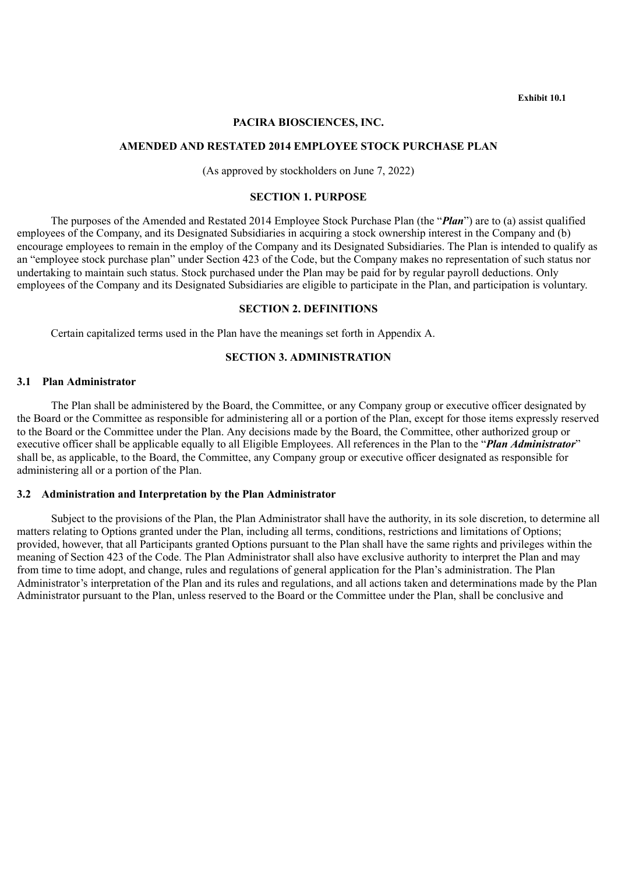**Exhibit 10.1**

#### **PACIRA BIOSCIENCES, INC.**

## <span id="page-4-0"></span>**AMENDED AND RESTATED 2014 EMPLOYEE STOCK PURCHASE PLAN**

(As approved by stockholders on June 7, 2022)

### **SECTION 1. PURPOSE**

The purposes of the Amended and Restated 2014 Employee Stock Purchase Plan (the "*Plan*") are to (a) assist qualified employees of the Company, and its Designated Subsidiaries in acquiring a stock ownership interest in the Company and (b) encourage employees to remain in the employ of the Company and its Designated Subsidiaries. The Plan is intended to qualify as an "employee stock purchase plan" under Section 423 of the Code, but the Company makes no representation of such status nor undertaking to maintain such status. Stock purchased under the Plan may be paid for by regular payroll deductions. Only employees of the Company and its Designated Subsidiaries are eligible to participate in the Plan, and participation is voluntary.

#### **SECTION 2. DEFINITIONS**

Certain capitalized terms used in the Plan have the meanings set forth in Appendix A.

## **SECTION 3. ADMINISTRATION**

## **3.1 Plan Administrator**

The Plan shall be administered by the Board, the Committee, or any Company group or executive officer designated by the Board or the Committee as responsible for administering all or a portion of the Plan, except for those items expressly reserved to the Board or the Committee under the Plan. Any decisions made by the Board, the Committee, other authorized group or executive officer shall be applicable equally to all Eligible Employees. All references in the Plan to the "*Plan Administrator*" shall be, as applicable, to the Board, the Committee, any Company group or executive officer designated as responsible for administering all or a portion of the Plan.

# **3.2 Administration and Interpretation by the Plan Administrator**

Subject to the provisions of the Plan, the Plan Administrator shall have the authority, in its sole discretion, to determine all matters relating to Options granted under the Plan, including all terms, conditions, restrictions and limitations of Options; provided, however, that all Participants granted Options pursuant to the Plan shall have the same rights and privileges within the meaning of Section 423 of the Code. The Plan Administrator shall also have exclusive authority to interpret the Plan and may from time to time adopt, and change, rules and regulations of general application for the Plan's administration. The Plan Administrator's interpretation of the Plan and its rules and regulations, and all actions taken and determinations made by the Plan Administrator pursuant to the Plan, unless reserved to the Board or the Committee under the Plan, shall be conclusive and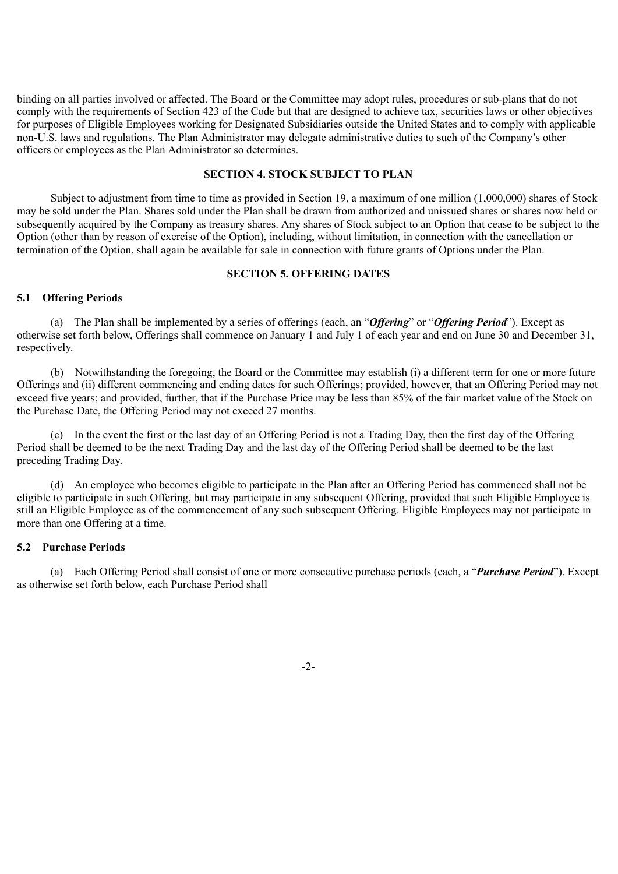binding on all parties involved or affected. The Board or the Committee may adopt rules, procedures or sub-plans that do not comply with the requirements of Section 423 of the Code but that are designed to achieve tax, securities laws or other objectives for purposes of Eligible Employees working for Designated Subsidiaries outside the United States and to comply with applicable non-U.S. laws and regulations. The Plan Administrator may delegate administrative duties to such of the Company's other officers or employees as the Plan Administrator so determines.

#### **SECTION 4. STOCK SUBJECT TO PLAN**

Subject to adjustment from time to time as provided in Section 19, a maximum of one million (1,000,000) shares of Stock may be sold under the Plan. Shares sold under the Plan shall be drawn from authorized and unissued shares or shares now held or subsequently acquired by the Company as treasury shares. Any shares of Stock subject to an Option that cease to be subject to the Option (other than by reason of exercise of the Option), including, without limitation, in connection with the cancellation or termination of the Option, shall again be available for sale in connection with future grants of Options under the Plan.

# **SECTION 5. OFFERING DATES**

#### **5.1 Offering Periods**

(a) The Plan shall be implemented by a series of offerings (each, an "*Offering*" or "*Offering Period*"). Except as otherwise set forth below, Offerings shall commence on January 1 and July 1 of each year and end on June 30 and December 31, respectively.

(b) Notwithstanding the foregoing, the Board or the Committee may establish (i) a different term for one or more future Offerings and (ii) different commencing and ending dates for such Offerings; provided, however, that an Offering Period may not exceed five years; and provided, further, that if the Purchase Price may be less than 85% of the fair market value of the Stock on the Purchase Date, the Offering Period may not exceed 27 months.

(c) In the event the first or the last day of an Offering Period is not a Trading Day, then the first day of the Offering Period shall be deemed to be the next Trading Day and the last day of the Offering Period shall be deemed to be the last preceding Trading Day.

(d) An employee who becomes eligible to participate in the Plan after an Offering Period has commenced shall not be eligible to participate in such Offering, but may participate in any subsequent Offering, provided that such Eligible Employee is still an Eligible Employee as of the commencement of any such subsequent Offering. Eligible Employees may not participate in more than one Offering at a time.

#### **5.2 Purchase Periods**

(a) Each Offering Period shall consist of one or more consecutive purchase periods (each, a "*Purchase Period*"). Except as otherwise set forth below, each Purchase Period shall

-2-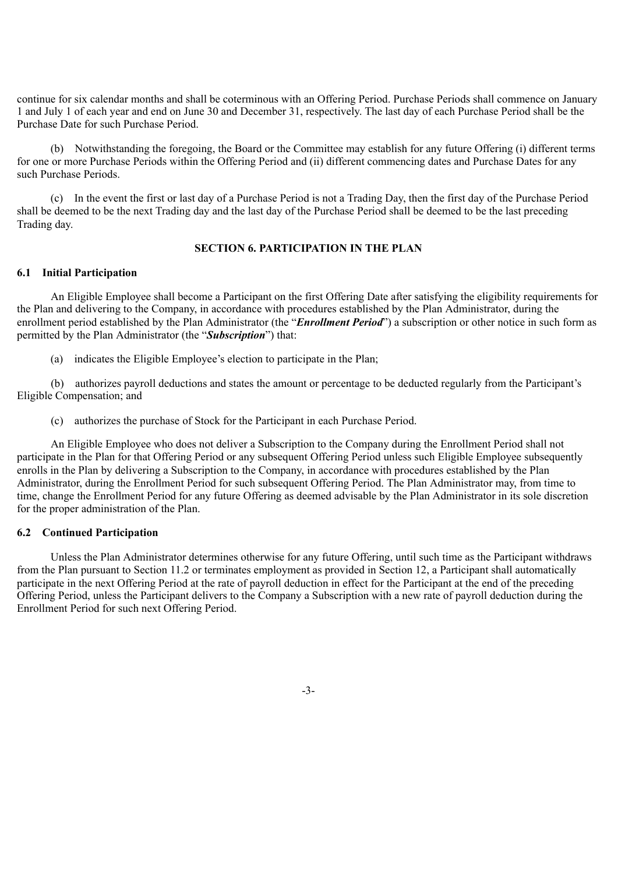continue for six calendar months and shall be coterminous with an Offering Period. Purchase Periods shall commence on January 1 and July 1 of each year and end on June 30 and December 31, respectively. The last day of each Purchase Period shall be the Purchase Date for such Purchase Period.

(b) Notwithstanding the foregoing, the Board or the Committee may establish for any future Offering (i) different terms for one or more Purchase Periods within the Offering Period and (ii) different commencing dates and Purchase Dates for any such Purchase Periods.

(c) In the event the first or last day of a Purchase Period is not a Trading Day, then the first day of the Purchase Period shall be deemed to be the next Trading day and the last day of the Purchase Period shall be deemed to be the last preceding Trading day.

# **SECTION 6. PARTICIPATION IN THE PLAN**

# **6.1 Initial Participation**

An Eligible Employee shall become a Participant on the first Offering Date after satisfying the eligibility requirements for the Plan and delivering to the Company, in accordance with procedures established by the Plan Administrator, during the enrollment period established by the Plan Administrator (the "*Enrollment Period*") a subscription or other notice in such form as permitted by the Plan Administrator (the "*Subscription*") that:

(a) indicates the Eligible Employee's election to participate in the Plan;

(b) authorizes payroll deductions and states the amount or percentage to be deducted regularly from the Participant's Eligible Compensation; and

(c) authorizes the purchase of Stock for the Participant in each Purchase Period.

An Eligible Employee who does not deliver a Subscription to the Company during the Enrollment Period shall not participate in the Plan for that Offering Period or any subsequent Offering Period unless such Eligible Employee subsequently enrolls in the Plan by delivering a Subscription to the Company, in accordance with procedures established by the Plan Administrator, during the Enrollment Period for such subsequent Offering Period. The Plan Administrator may, from time to time, change the Enrollment Period for any future Offering as deemed advisable by the Plan Administrator in its sole discretion for the proper administration of the Plan.

#### **6.2 Continued Participation**

Unless the Plan Administrator determines otherwise for any future Offering, until such time as the Participant withdraws from the Plan pursuant to Section 11.2 or terminates employment as provided in Section 12, a Participant shall automatically participate in the next Offering Period at the rate of payroll deduction in effect for the Participant at the end of the preceding Offering Period, unless the Participant delivers to the Company a Subscription with a new rate of payroll deduction during the Enrollment Period for such next Offering Period.

-3-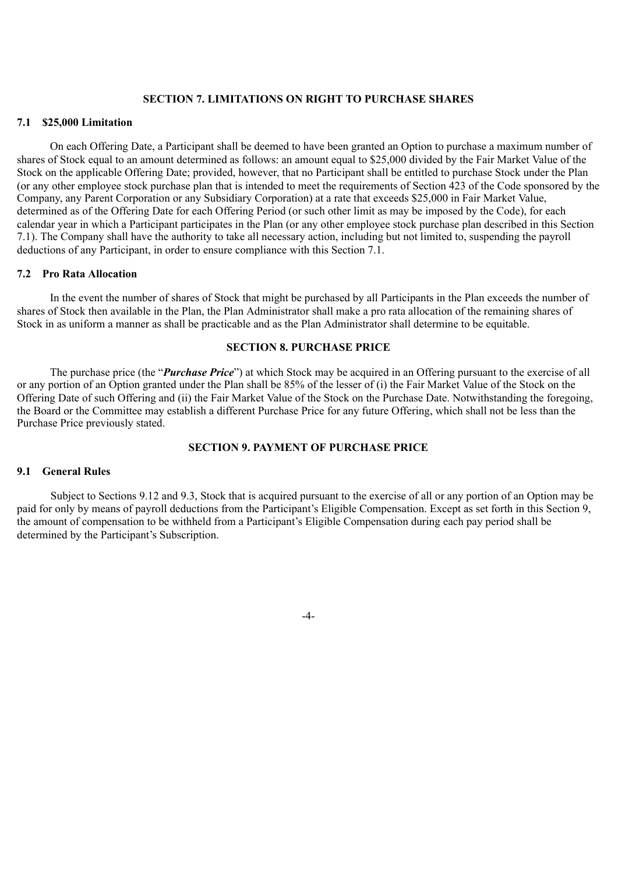# **SECTION 7. LIMITATIONS ON RIGHT TO PURCHASE SHARES**

#### **7.1 \$25,000 Limitation**

On each Offering Date, a Participant shall be deemed to have been granted an Option to purchase a maximum number of shares of Stock equal to an amount determined as follows: an amount equal to \$25,000 divided by the Fair Market Value of the Stock on the applicable Offering Date; provided, however, that no Participant shall be entitled to purchase Stock under the Plan (or any other employee stock purchase plan that is intended to meet the requirements of Section 423 of the Code sponsored by the Company, any Parent Corporation or any Subsidiary Corporation) at a rate that exceeds \$25,000 in Fair Market Value, determined as of the Offering Date for each Offering Period (or such other limit as may be imposed by the Code), for each calendar year in which a Participant participates in the Plan (or any other employee stock purchase plan described in this Section 7.1). The Company shall have the authority to take all necessary action, including but not limited to, suspending the payroll deductions of any Participant, in order to ensure compliance with this Section 7.1.

#### **7.2 Pro Rata Allocation**

In the event the number of shares of Stock that might be purchased by all Participants in the Plan exceeds the number of shares of Stock then available in the Plan, the Plan Administrator shall make a pro rata allocation of the remaining shares of Stock in as uniform a manner as shall be practicable and as the Plan Administrator shall determine to be equitable.

## **SECTION 8. PURCHASE PRICE**

The purchase price (the "*Purchase Price*") at which Stock may be acquired in an Offering pursuant to the exercise of all or any portion of an Option granted under the Plan shall be 85% of the lesser of (i) the Fair Market Value of the Stock on the Offering Date of such Offering and (ii) the Fair Market Value of the Stock on the Purchase Date. Notwithstanding the foregoing, the Board or the Committee may establish a different Purchase Price for any future Offering, which shall not be less than the Purchase Price previously stated.

# **SECTION 9. PAYMENT OF PURCHASE PRICE**

# **9.1 General Rules**

Subject to Sections 9.12 and 9.3, Stock that is acquired pursuant to the exercise of all or any portion of an Option may be paid for only by means of payroll deductions from the Participant's Eligible Compensation. Except as set forth in this Section 9, the amount of compensation to be withheld from a Participant's Eligible Compensation during each pay period shall be determined by the Participant's Subscription.

-4-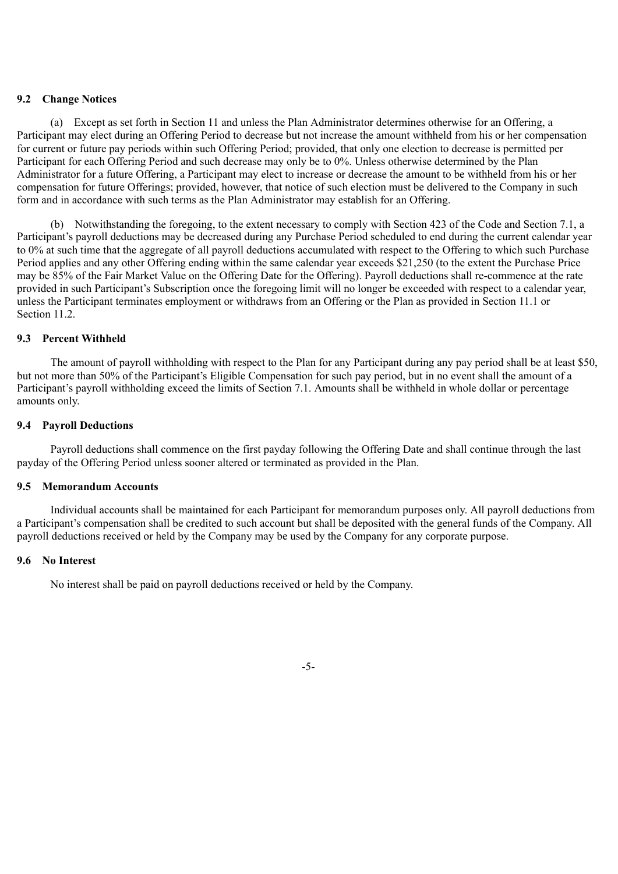## **9.2 Change Notices**

(a) Except as set forth in Section 11 and unless the Plan Administrator determines otherwise for an Offering, a Participant may elect during an Offering Period to decrease but not increase the amount withheld from his or her compensation for current or future pay periods within such Offering Period; provided, that only one election to decrease is permitted per Participant for each Offering Period and such decrease may only be to 0%. Unless otherwise determined by the Plan Administrator for a future Offering, a Participant may elect to increase or decrease the amount to be withheld from his or her compensation for future Offerings; provided, however, that notice of such election must be delivered to the Company in such form and in accordance with such terms as the Plan Administrator may establish for an Offering.

(b) Notwithstanding the foregoing, to the extent necessary to comply with Section 423 of the Code and Section 7.1, a Participant's payroll deductions may be decreased during any Purchase Period scheduled to end during the current calendar year to 0% at such time that the aggregate of all payroll deductions accumulated with respect to the Offering to which such Purchase Period applies and any other Offering ending within the same calendar year exceeds \$21,250 (to the extent the Purchase Price may be 85% of the Fair Market Value on the Offering Date for the Offering). Payroll deductions shall re-commence at the rate provided in such Participant's Subscription once the foregoing limit will no longer be exceeded with respect to a calendar year, unless the Participant terminates employment or withdraws from an Offering or the Plan as provided in Section 11.1 or Section 11.2.

# **9.3 Percent Withheld**

The amount of payroll withholding with respect to the Plan for any Participant during any pay period shall be at least \$50, but not more than 50% of the Participant's Eligible Compensation for such pay period, but in no event shall the amount of a Participant's payroll withholding exceed the limits of Section 7.1. Amounts shall be withheld in whole dollar or percentage amounts only.

# **9.4 Payroll Deductions**

Payroll deductions shall commence on the first payday following the Offering Date and shall continue through the last payday of the Offering Period unless sooner altered or terminated as provided in the Plan.

#### **9.5 Memorandum Accounts**

Individual accounts shall be maintained for each Participant for memorandum purposes only. All payroll deductions from a Participant's compensation shall be credited to such account but shall be deposited with the general funds of the Company. All payroll deductions received or held by the Company may be used by the Company for any corporate purpose.

#### **9.6 No Interest**

No interest shall be paid on payroll deductions received or held by the Company.

-5-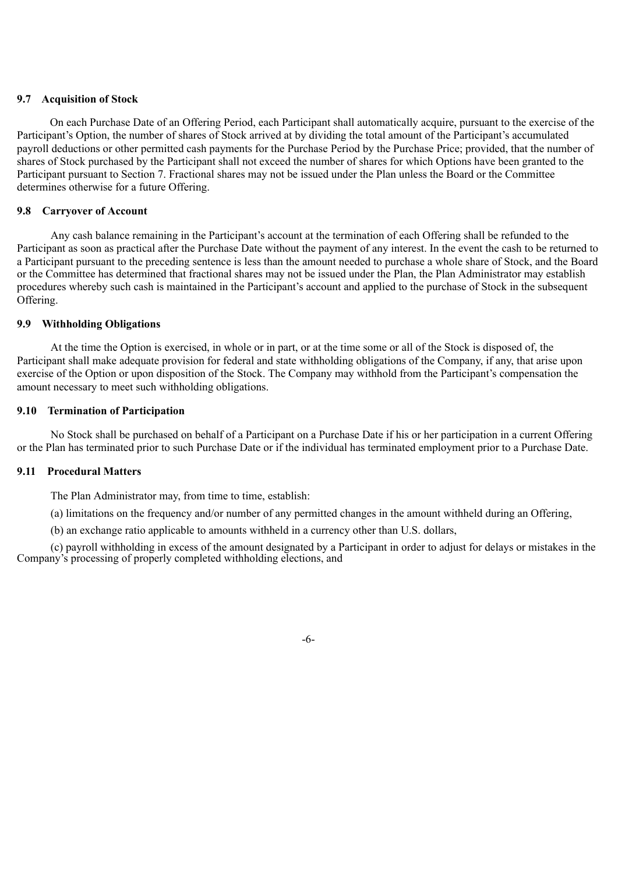## **9.7 Acquisition of Stock**

On each Purchase Date of an Offering Period, each Participant shall automatically acquire, pursuant to the exercise of the Participant's Option, the number of shares of Stock arrived at by dividing the total amount of the Participant's accumulated payroll deductions or other permitted cash payments for the Purchase Period by the Purchase Price; provided, that the number of shares of Stock purchased by the Participant shall not exceed the number of shares for which Options have been granted to the Participant pursuant to Section 7. Fractional shares may not be issued under the Plan unless the Board or the Committee determines otherwise for a future Offering.

# **9.8 Carryover of Account**

Any cash balance remaining in the Participant's account at the termination of each Offering shall be refunded to the Participant as soon as practical after the Purchase Date without the payment of any interest. In the event the cash to be returned to a Participant pursuant to the preceding sentence is less than the amount needed to purchase a whole share of Stock, and the Board or the Committee has determined that fractional shares may not be issued under the Plan, the Plan Administrator may establish procedures whereby such cash is maintained in the Participant's account and applied to the purchase of Stock in the subsequent Offering.

# **9.9 Withholding Obligations**

At the time the Option is exercised, in whole or in part, or at the time some or all of the Stock is disposed of, the Participant shall make adequate provision for federal and state withholding obligations of the Company, if any, that arise upon exercise of the Option or upon disposition of the Stock. The Company may withhold from the Participant's compensation the amount necessary to meet such withholding obligations.

#### **9.10 Termination of Participation**

No Stock shall be purchased on behalf of a Participant on a Purchase Date if his or her participation in a current Offering or the Plan has terminated prior to such Purchase Date or if the individual has terminated employment prior to a Purchase Date.

## **9.11 Procedural Matters**

The Plan Administrator may, from time to time, establish:

(a) limitations on the frequency and/or number of any permitted changes in the amount withheld during an Offering,

(b) an exchange ratio applicable to amounts withheld in a currency other than U.S. dollars,

(c) payroll withholding in excess of the amount designated by a Participant in order to adjust for delays or mistakes in the Company's processing of properly completed withholding elections, and

-6-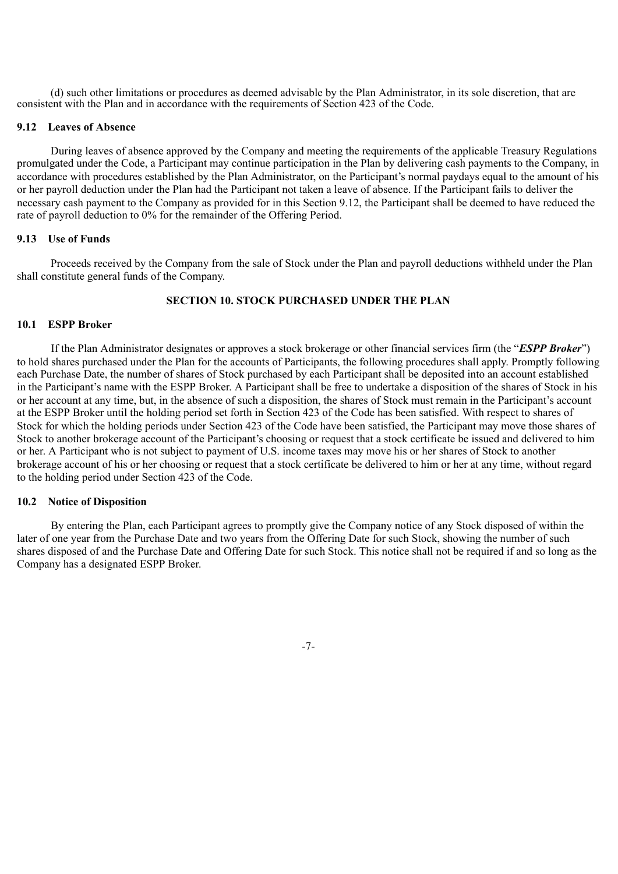(d) such other limitations or procedures as deemed advisable by the Plan Administrator, in its sole discretion, that are consistent with the Plan and in accordance with the requirements of Section 423 of the Code.

#### **9.12 Leaves of Absence**

During leaves of absence approved by the Company and meeting the requirements of the applicable Treasury Regulations promulgated under the Code, a Participant may continue participation in the Plan by delivering cash payments to the Company, in accordance with procedures established by the Plan Administrator, on the Participant's normal paydays equal to the amount of his or her payroll deduction under the Plan had the Participant not taken a leave of absence. If the Participant fails to deliver the necessary cash payment to the Company as provided for in this Section 9.12, the Participant shall be deemed to have reduced the rate of payroll deduction to 0% for the remainder of the Offering Period.

# **9.13 Use of Funds**

Proceeds received by the Company from the sale of Stock under the Plan and payroll deductions withheld under the Plan shall constitute general funds of the Company.

# **SECTION 10. STOCK PURCHASED UNDER THE PLAN**

# **10.1 ESPP Broker**

If the Plan Administrator designates or approves a stock brokerage or other financial services firm (the "*ESPP Broker*") to hold shares purchased under the Plan for the accounts of Participants, the following procedures shall apply. Promptly following each Purchase Date, the number of shares of Stock purchased by each Participant shall be deposited into an account established in the Participant's name with the ESPP Broker. A Participant shall be free to undertake a disposition of the shares of Stock in his or her account at any time, but, in the absence of such a disposition, the shares of Stock must remain in the Participant's account at the ESPP Broker until the holding period set forth in Section 423 of the Code has been satisfied. With respect to shares of Stock for which the holding periods under Section 423 of the Code have been satisfied, the Participant may move those shares of Stock to another brokerage account of the Participant's choosing or request that a stock certificate be issued and delivered to him or her. A Participant who is not subject to payment of U.S. income taxes may move his or her shares of Stock to another brokerage account of his or her choosing or request that a stock certificate be delivered to him or her at any time, without regard to the holding period under Section 423 of the Code.

#### **10.2 Notice of Disposition**

By entering the Plan, each Participant agrees to promptly give the Company notice of any Stock disposed of within the later of one year from the Purchase Date and two years from the Offering Date for such Stock, showing the number of such shares disposed of and the Purchase Date and Offering Date for such Stock. This notice shall not be required if and so long as the Company has a designated ESPP Broker.

-7-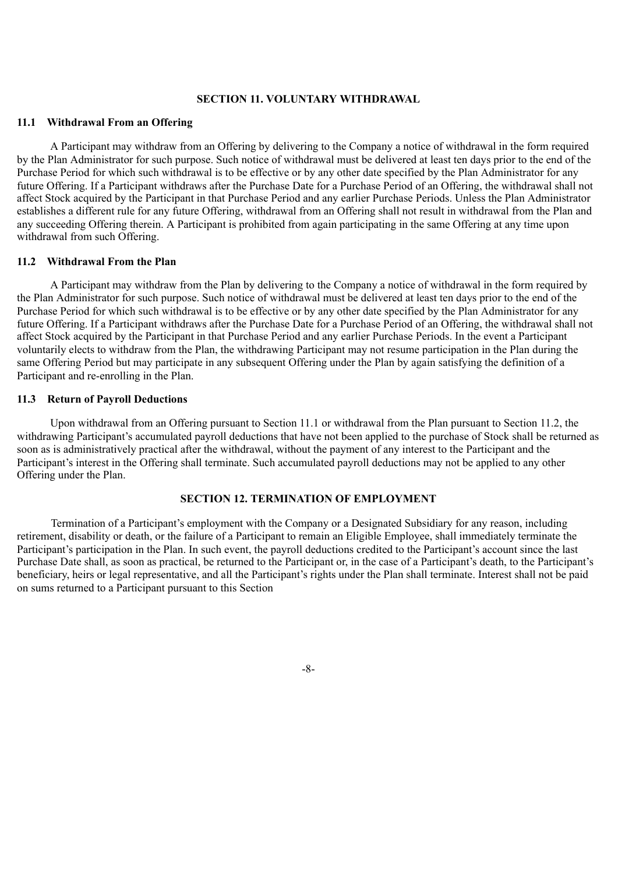# **SECTION 11. VOLUNTARY WITHDRAWAL**

#### **11.1 Withdrawal From an Offering**

A Participant may withdraw from an Offering by delivering to the Company a notice of withdrawal in the form required by the Plan Administrator for such purpose. Such notice of withdrawal must be delivered at least ten days prior to the end of the Purchase Period for which such withdrawal is to be effective or by any other date specified by the Plan Administrator for any future Offering. If a Participant withdraws after the Purchase Date for a Purchase Period of an Offering, the withdrawal shall not affect Stock acquired by the Participant in that Purchase Period and any earlier Purchase Periods. Unless the Plan Administrator establishes a different rule for any future Offering, withdrawal from an Offering shall not result in withdrawal from the Plan and any succeeding Offering therein. A Participant is prohibited from again participating in the same Offering at any time upon withdrawal from such Offering.

#### **11.2 Withdrawal From the Plan**

A Participant may withdraw from the Plan by delivering to the Company a notice of withdrawal in the form required by the Plan Administrator for such purpose. Such notice of withdrawal must be delivered at least ten days prior to the end of the Purchase Period for which such withdrawal is to be effective or by any other date specified by the Plan Administrator for any future Offering. If a Participant withdraws after the Purchase Date for a Purchase Period of an Offering, the withdrawal shall not affect Stock acquired by the Participant in that Purchase Period and any earlier Purchase Periods. In the event a Participant voluntarily elects to withdraw from the Plan, the withdrawing Participant may not resume participation in the Plan during the same Offering Period but may participate in any subsequent Offering under the Plan by again satisfying the definition of a Participant and re-enrolling in the Plan.

#### **11.3 Return of Payroll Deductions**

Upon withdrawal from an Offering pursuant to Section 11.1 or withdrawal from the Plan pursuant to Section 11.2, the withdrawing Participant's accumulated payroll deductions that have not been applied to the purchase of Stock shall be returned as soon as is administratively practical after the withdrawal, without the payment of any interest to the Participant and the Participant's interest in the Offering shall terminate. Such accumulated payroll deductions may not be applied to any other Offering under the Plan.

## **SECTION 12. TERMINATION OF EMPLOYMENT**

Termination of a Participant's employment with the Company or a Designated Subsidiary for any reason, including retirement, disability or death, or the failure of a Participant to remain an Eligible Employee, shall immediately terminate the Participant's participation in the Plan. In such event, the payroll deductions credited to the Participant's account since the last Purchase Date shall, as soon as practical, be returned to the Participant or, in the case of a Participant's death, to the Participant's beneficiary, heirs or legal representative, and all the Participant's rights under the Plan shall terminate. Interest shall not be paid on sums returned to a Participant pursuant to this Section

-8-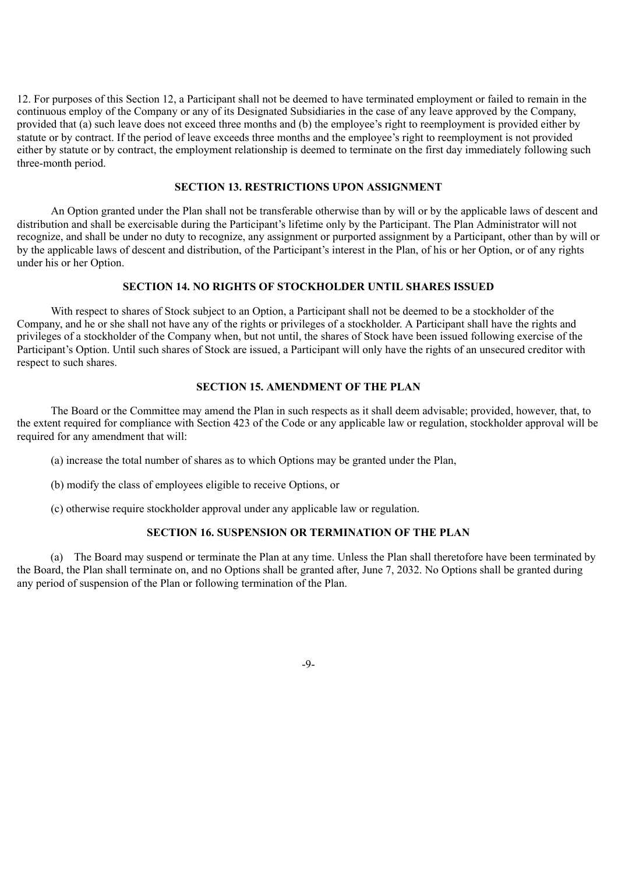12. For purposes of this Section 12, a Participant shall not be deemed to have terminated employment or failed to remain in the continuous employ of the Company or any of its Designated Subsidiaries in the case of any leave approved by the Company, provided that (a) such leave does not exceed three months and (b) the employee's right to reemployment is provided either by statute or by contract. If the period of leave exceeds three months and the employee's right to reemployment is not provided either by statute or by contract, the employment relationship is deemed to terminate on the first day immediately following such three-month period.

# **SECTION 13. RESTRICTIONS UPON ASSIGNMENT**

An Option granted under the Plan shall not be transferable otherwise than by will or by the applicable laws of descent and distribution and shall be exercisable during the Participant's lifetime only by the Participant. The Plan Administrator will not recognize, and shall be under no duty to recognize, any assignment or purported assignment by a Participant, other than by will or by the applicable laws of descent and distribution, of the Participant's interest in the Plan, of his or her Option, or of any rights under his or her Option.

# **SECTION 14. NO RIGHTS OF STOCKHOLDER UNTIL SHARES ISSUED**

With respect to shares of Stock subject to an Option, a Participant shall not be deemed to be a stockholder of the Company, and he or she shall not have any of the rights or privileges of a stockholder. A Participant shall have the rights and privileges of a stockholder of the Company when, but not until, the shares of Stock have been issued following exercise of the Participant's Option. Until such shares of Stock are issued, a Participant will only have the rights of an unsecured creditor with respect to such shares.

# **SECTION 15. AMENDMENT OF THE PLAN**

The Board or the Committee may amend the Plan in such respects as it shall deem advisable; provided, however, that, to the extent required for compliance with Section 423 of the Code or any applicable law or regulation, stockholder approval will be required for any amendment that will:

(a) increase the total number of shares as to which Options may be granted under the Plan,

(b) modify the class of employees eligible to receive Options, or

(c) otherwise require stockholder approval under any applicable law or regulation.

# **SECTION 16. SUSPENSION OR TERMINATION OF THE PLAN**

(a) The Board may suspend or terminate the Plan at any time. Unless the Plan shall theretofore have been terminated by the Board, the Plan shall terminate on, and no Options shall be granted after, June 7, 2032. No Options shall be granted during any period of suspension of the Plan or following termination of the Plan.

-9-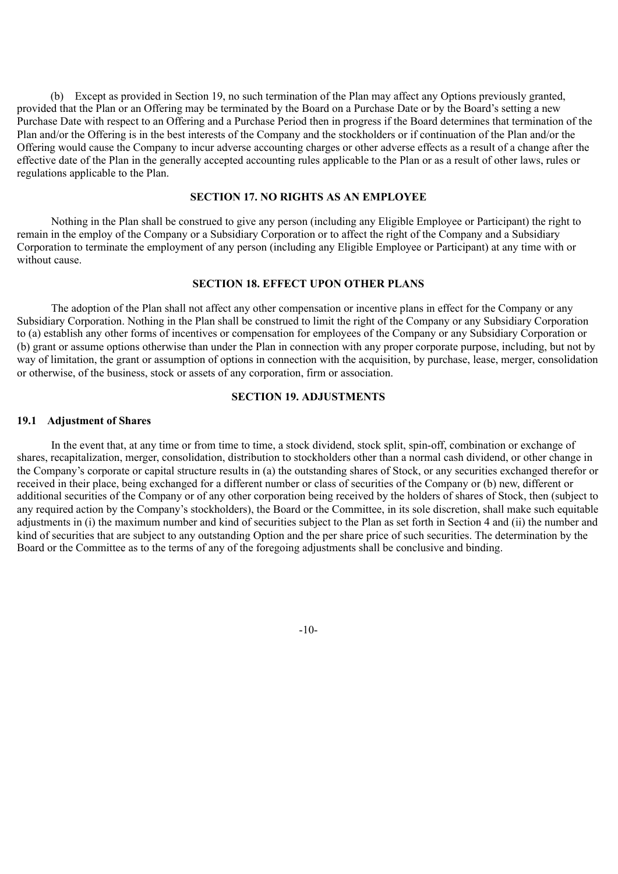(b) Except as provided in Section 19, no such termination of the Plan may affect any Options previously granted, provided that the Plan or an Offering may be terminated by the Board on a Purchase Date or by the Board's setting a new Purchase Date with respect to an Offering and a Purchase Period then in progress if the Board determines that termination of the Plan and/or the Offering is in the best interests of the Company and the stockholders or if continuation of the Plan and/or the Offering would cause the Company to incur adverse accounting charges or other adverse effects as a result of a change after the effective date of the Plan in the generally accepted accounting rules applicable to the Plan or as a result of other laws, rules or regulations applicable to the Plan.

# **SECTION 17. NO RIGHTS AS AN EMPLOYEE**

Nothing in the Plan shall be construed to give any person (including any Eligible Employee or Participant) the right to remain in the employ of the Company or a Subsidiary Corporation or to affect the right of the Company and a Subsidiary Corporation to terminate the employment of any person (including any Eligible Employee or Participant) at any time with or without cause.

## **SECTION 18. EFFECT UPON OTHER PLANS**

The adoption of the Plan shall not affect any other compensation or incentive plans in effect for the Company or any Subsidiary Corporation. Nothing in the Plan shall be construed to limit the right of the Company or any Subsidiary Corporation to (a) establish any other forms of incentives or compensation for employees of the Company or any Subsidiary Corporation or (b) grant or assume options otherwise than under the Plan in connection with any proper corporate purpose, including, but not by way of limitation, the grant or assumption of options in connection with the acquisition, by purchase, lease, merger, consolidation or otherwise, of the business, stock or assets of any corporation, firm or association.

# **SECTION 19. ADJUSTMENTS**

# **19.1 Adjustment of Shares**

In the event that, at any time or from time to time, a stock dividend, stock split, spin-off, combination or exchange of shares, recapitalization, merger, consolidation, distribution to stockholders other than a normal cash dividend, or other change in the Company's corporate or capital structure results in (a) the outstanding shares of Stock, or any securities exchanged therefor or received in their place, being exchanged for a different number or class of securities of the Company or (b) new, different or additional securities of the Company or of any other corporation being received by the holders of shares of Stock, then (subject to any required action by the Company's stockholders), the Board or the Committee, in its sole discretion, shall make such equitable adjustments in (i) the maximum number and kind of securities subject to the Plan as set forth in Section 4 and (ii) the number and kind of securities that are subject to any outstanding Option and the per share price of such securities. The determination by the Board or the Committee as to the terms of any of the foregoing adjustments shall be conclusive and binding.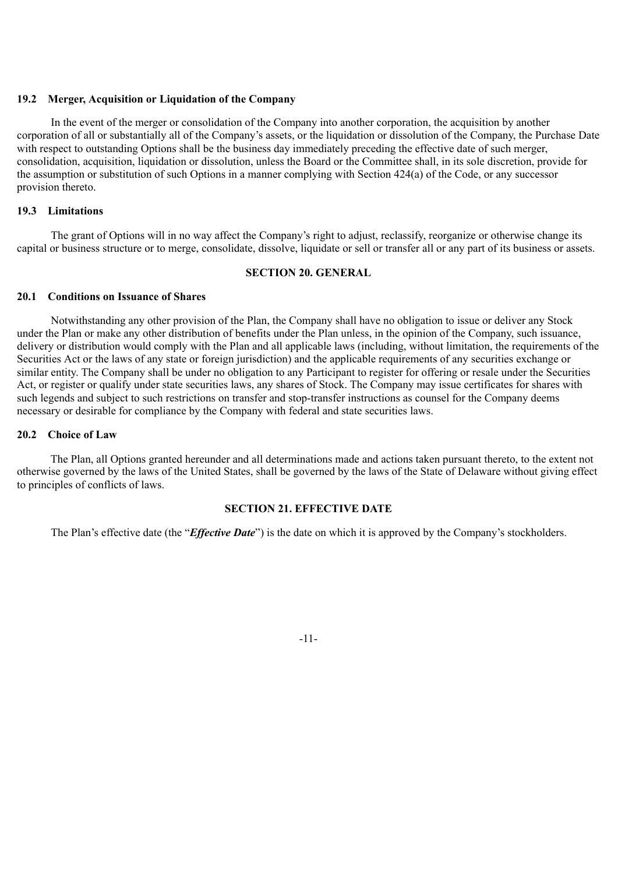## **19.2 Merger, Acquisition or Liquidation of the Company**

In the event of the merger or consolidation of the Company into another corporation, the acquisition by another corporation of all or substantially all of the Company's assets, or the liquidation or dissolution of the Company, the Purchase Date with respect to outstanding Options shall be the business day immediately preceding the effective date of such merger, consolidation, acquisition, liquidation or dissolution, unless the Board or the Committee shall, in its sole discretion, provide for the assumption or substitution of such Options in a manner complying with Section 424(a) of the Code, or any successor provision thereto.

# **19.3 Limitations**

The grant of Options will in no way affect the Company's right to adjust, reclassify, reorganize or otherwise change its capital or business structure or to merge, consolidate, dissolve, liquidate or sell or transfer all or any part of its business or assets.

# **SECTION 20. GENERAL**

# **20.1 Conditions on Issuance of Shares**

Notwithstanding any other provision of the Plan, the Company shall have no obligation to issue or deliver any Stock under the Plan or make any other distribution of benefits under the Plan unless, in the opinion of the Company, such issuance, delivery or distribution would comply with the Plan and all applicable laws (including, without limitation, the requirements of the Securities Act or the laws of any state or foreign jurisdiction) and the applicable requirements of any securities exchange or similar entity. The Company shall be under no obligation to any Participant to register for offering or resale under the Securities Act, or register or qualify under state securities laws, any shares of Stock. The Company may issue certificates for shares with such legends and subject to such restrictions on transfer and stop-transfer instructions as counsel for the Company deems necessary or desirable for compliance by the Company with federal and state securities laws.

# **20.2 Choice of Law**

The Plan, all Options granted hereunder and all determinations made and actions taken pursuant thereto, to the extent not otherwise governed by the laws of the United States, shall be governed by the laws of the State of Delaware without giving effect to principles of conflicts of laws.

# **SECTION 21. EFFECTIVE DATE**

The Plan's effective date (the "*Effective Date*") is the date on which it is approved by the Company's stockholders.

-11-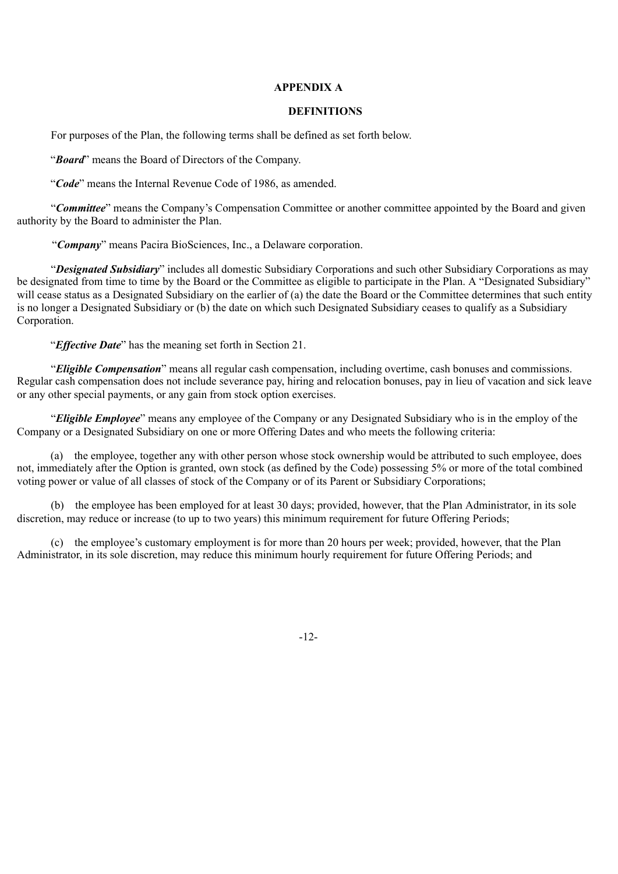# **APPENDIX A**

#### **DEFINITIONS**

For purposes of the Plan, the following terms shall be defined as set forth below.

"*Board*" means the Board of Directors of the Company.

"*Code*" means the Internal Revenue Code of 1986, as amended.

"*Committee*" means the Company's Compensation Committee or another committee appointed by the Board and given authority by the Board to administer the Plan.

"*Company*" means Pacira BioSciences, Inc., a Delaware corporation.

"*Designated Subsidiary*" includes all domestic Subsidiary Corporations and such other Subsidiary Corporations as may be designated from time to time by the Board or the Committee as eligible to participate in the Plan. A "Designated Subsidiary" will cease status as a Designated Subsidiary on the earlier of (a) the date the Board or the Committee determines that such entity is no longer a Designated Subsidiary or (b) the date on which such Designated Subsidiary ceases to qualify as a Subsidiary Corporation.

"*Effective Date*" has the meaning set forth in Section 21.

"*Eligible Compensation*" means all regular cash compensation, including overtime, cash bonuses and commissions. Regular cash compensation does not include severance pay, hiring and relocation bonuses, pay in lieu of vacation and sick leave or any other special payments, or any gain from stock option exercises.

"*Eligible Employee*" means any employee of the Company or any Designated Subsidiary who is in the employ of the Company or a Designated Subsidiary on one or more Offering Dates and who meets the following criteria:

(a) the employee, together any with other person whose stock ownership would be attributed to such employee, does not, immediately after the Option is granted, own stock (as defined by the Code) possessing 5% or more of the total combined voting power or value of all classes of stock of the Company or of its Parent or Subsidiary Corporations;

(b) the employee has been employed for at least 30 days; provided, however, that the Plan Administrator, in its sole discretion, may reduce or increase (to up to two years) this minimum requirement for future Offering Periods;

(c) the employee's customary employment is for more than 20 hours per week; provided, however, that the Plan Administrator, in its sole discretion, may reduce this minimum hourly requirement for future Offering Periods; and

-12-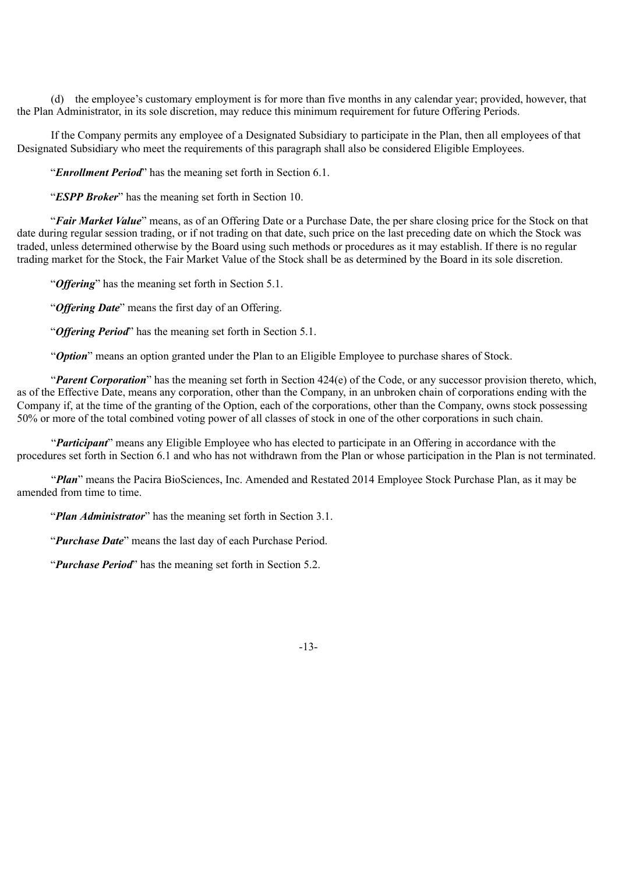(d) the employee's customary employment is for more than five months in any calendar year; provided, however, that the Plan Administrator, in its sole discretion, may reduce this minimum requirement for future Offering Periods.

If the Company permits any employee of a Designated Subsidiary to participate in the Plan, then all employees of that Designated Subsidiary who meet the requirements of this paragraph shall also be considered Eligible Employees.

"*Enrollment Period*" has the meaning set forth in Section 6.1.

"*ESPP Broker*" has the meaning set forth in Section 10.

"*Fair Market Value*" means, as of an Offering Date or a Purchase Date, the per share closing price for the Stock on that date during regular session trading, or if not trading on that date, such price on the last preceding date on which the Stock was traded, unless determined otherwise by the Board using such methods or procedures as it may establish. If there is no regular trading market for the Stock, the Fair Market Value of the Stock shall be as determined by the Board in its sole discretion.

"*Offering*" has the meaning set forth in Section 5.1.

"*Offering Date*" means the first day of an Offering.

"*Offering Period*" has the meaning set forth in Section 5.1.

"*Option*" means an option granted under the Plan to an Eligible Employee to purchase shares of Stock.

"*Parent Corporation*" has the meaning set forth in Section 424(e) of the Code, or any successor provision thereto, which, as of the Effective Date, means any corporation, other than the Company, in an unbroken chain of corporations ending with the Company if, at the time of the granting of the Option, each of the corporations, other than the Company, owns stock possessing 50% or more of the total combined voting power of all classes of stock in one of the other corporations in such chain.

"*Participant*" means any Eligible Employee who has elected to participate in an Offering in accordance with the procedures set forth in Section 6.1 and who has not withdrawn from the Plan or whose participation in the Plan is not terminated.

"*Plan*" means the Pacira BioSciences, Inc. Amended and Restated 2014 Employee Stock Purchase Plan, as it may be amended from time to time.

"*Plan Administrator*" has the meaning set forth in Section 3.1.

"*Purchase Date*" means the last day of each Purchase Period.

"*Purchase Period*" has the meaning set forth in Section 5.2.

-13-